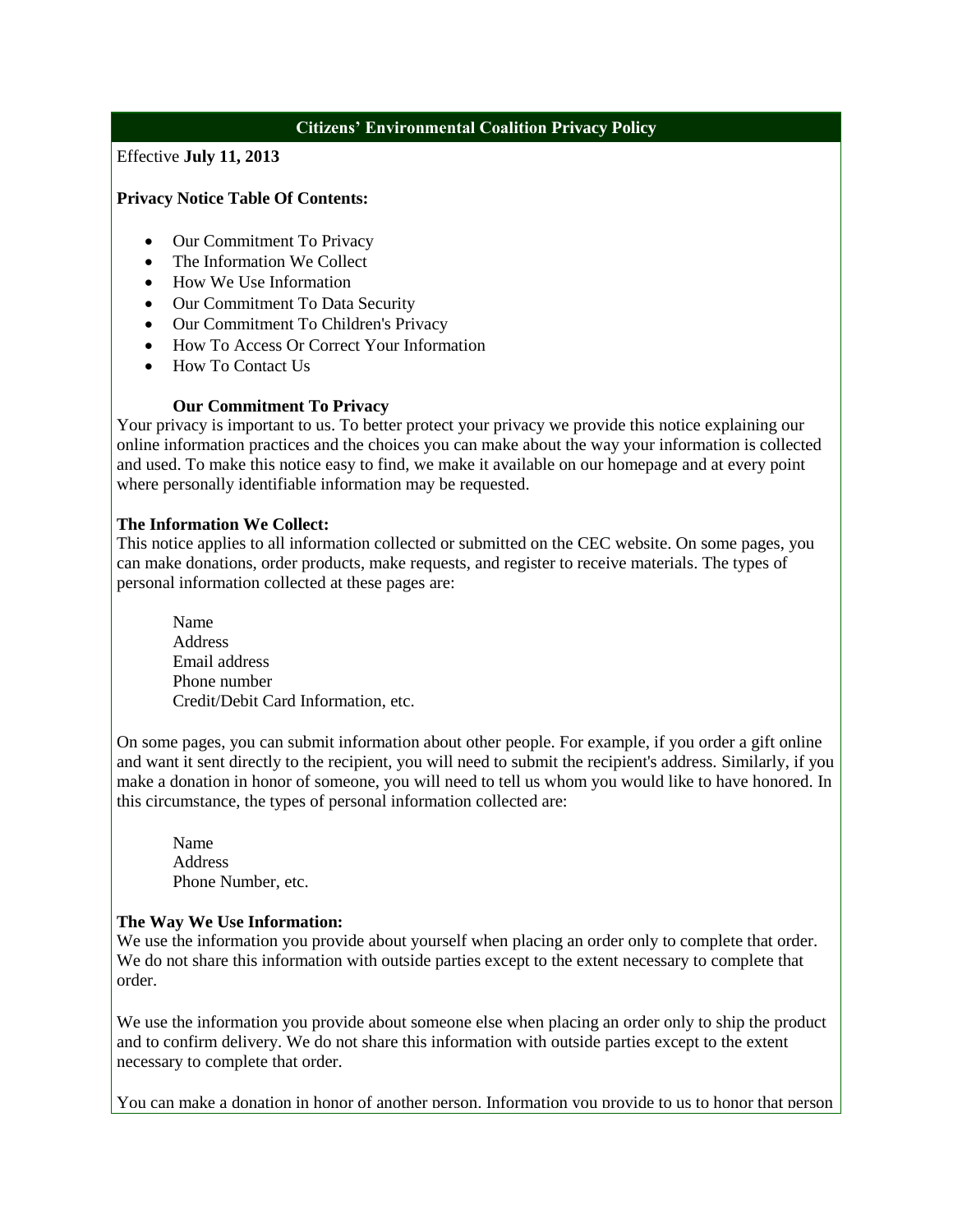# **Citizens' Environmental Coalition Privacy Policy**

Effective **July 11, 2013**

### **Privacy Notice Table Of Contents:**

- Our Commitment To Privacy
- The Information We Collect
- How We Use Information
- Our Commitment To Data Security
- Our Commitment To Children's Privacy
- How To Access Or Correct Your Information
- How To Contact Us

## **Our Commitment To Privacy**

Your privacy is important to us. To better protect your privacy we provide this notice explaining our online information practices and the choices you can make about the way your information is collected and used. To make this notice easy to find, we make it available on our homepage and at every point where personally identifiable information may be requested.

### **The Information We Collect:**

This notice applies to all information collected or submitted on the CEC website. On some pages, you can make donations, order products, make requests, and register to receive materials. The types of personal information collected at these pages are:

Name Address Email address Phone number Credit/Debit Card Information, etc.

On some pages, you can submit information about other people. For example, if you order a gift online and want it sent directly to the recipient, you will need to submit the recipient's address. Similarly, if you make a donation in honor of someone, you will need to tell us whom you would like to have honored. In this circumstance, the types of personal information collected are:

Name Address Phone Number, etc.

#### **The Way We Use Information:**

We use the information you provide about yourself when placing an order only to complete that order. We do not share this information with outside parties except to the extent necessary to complete that order.

We use the information you provide about someone else when placing an order only to ship the product and to confirm delivery. We do not share this information with outside parties except to the extent necessary to complete that order.

You can make a donation in honor of another person. Information you provide to us to honor that person